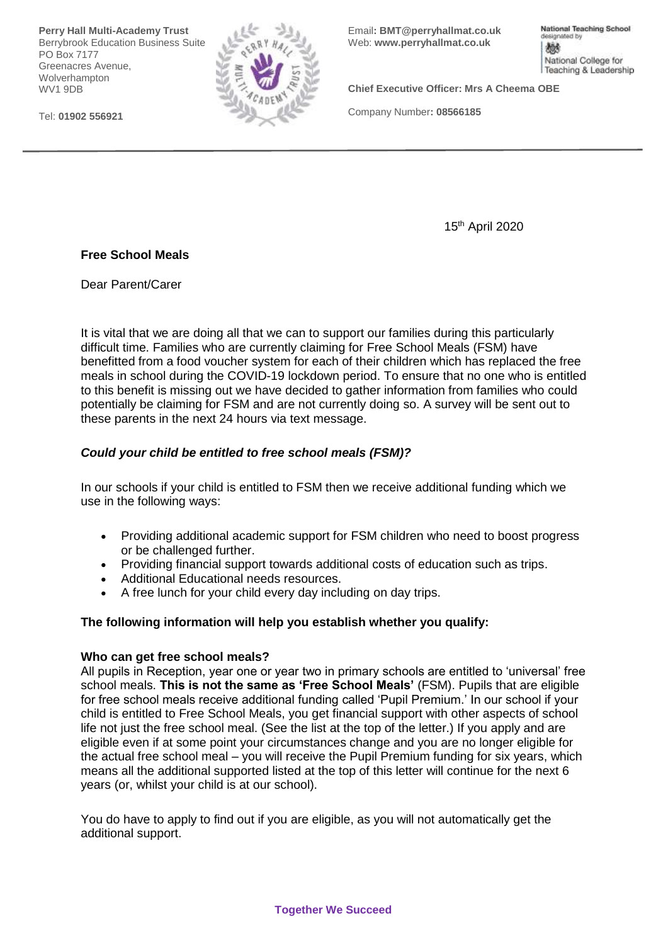**Perry Hall Multi-Academy Trust** Berrybrook Education Business Suite PO Box 7177 Greenacres Avenue, Wolverhampton WV1 9DB

Tel: **01902 556921**



Email**: BMT@perryhallmat.co.uk**  Web: **[www.perryhallmat.co.uk](http://www.perryhallmat.co.uk/)**

National Teaching School designated by 燃 National College for Teaching & Leadership

**Chief Executive Officer: Mrs A Cheema OBE**

Company Number**: 08566185**

15th April 2020

# **Free School Meals**

Dear Parent/Carer

It is vital that we are doing all that we can to support our families during this particularly difficult time. Families who are currently claiming for Free School Meals (FSM) have benefitted from a food voucher system for each of their children which has replaced the free meals in school during the COVID-19 lockdown period. To ensure that no one who is entitled to this benefit is missing out we have decided to gather information from families who could potentially be claiming for FSM and are not currently doing so. A survey will be sent out to these parents in the next 24 hours via text message.

# *Could your child be entitled to free school meals (FSM)?*

In our schools if your child is entitled to FSM then we receive additional funding which we use in the following ways:

- Providing additional academic support for FSM children who need to boost progress or be challenged further.
- Providing financial support towards additional costs of education such as trips.
- Additional Educational needs resources.
- A free lunch for your child every day including on day trips.

# **The following information will help you establish whether you qualify:**

# **Who can get free school meals?**

All pupils in Reception, year one or year two in primary schools are entitled to 'universal' free school meals. **This is not the same as 'Free School Meals'** (FSM). Pupils that are eligible for free school meals receive additional funding called 'Pupil Premium.' In our school if your child is entitled to Free School Meals, you get financial support with other aspects of school life not just the free school meal. (See the list at the top of the letter.) If you apply and are eligible even if at some point your circumstances change and you are no longer eligible for the actual free school meal – you will receive the Pupil Premium funding for six years, which means all the additional supported listed at the top of this letter will continue for the next 6 years (or, whilst your child is at our school).

You do have to apply to find out if you are eligible, as you will not automatically get the additional support.